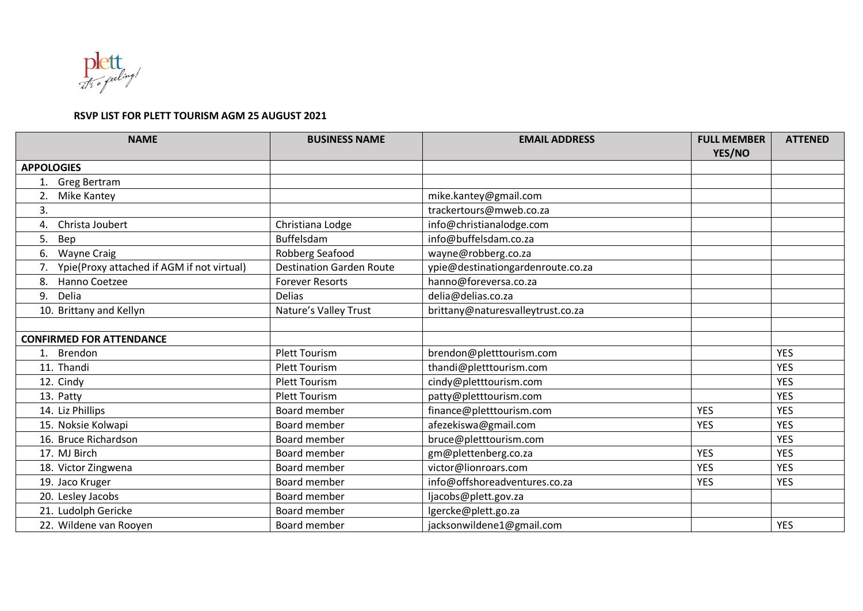

## **RSVP LIST FOR PLETT TOURISM AGM 25 AUGUST 2021**

| <b>NAME</b>                                | <b>BUSINESS NAME</b>            | <b>EMAIL ADDRESS</b>              | <b>FULL MEMBER</b><br>YES/NO | <b>ATTENED</b> |
|--------------------------------------------|---------------------------------|-----------------------------------|------------------------------|----------------|
| <b>APPOLOGIES</b>                          |                                 |                                   |                              |                |
| <b>Greg Bertram</b><br>1.                  |                                 |                                   |                              |                |
| <b>Mike Kantey</b><br>2                    |                                 | mike.kantey@gmail.com             |                              |                |
| 3.                                         |                                 | trackertours@mweb.co.za           |                              |                |
| Christa Joubert<br>4.                      | Christiana Lodge                | info@christianalodge.com          |                              |                |
| 5.<br>Bep                                  | Buffelsdam                      | info@buffelsdam.co.za             |                              |                |
| 6.<br><b>Wayne Craig</b>                   | Robberg Seafood                 | wayne@robberg.co.za               |                              |                |
| Ypie(Proxy attached if AGM if not virtual) | <b>Destination Garden Route</b> | ypie@destinationgardenroute.co.za |                              |                |
| Hanno Coetzee<br>8.                        | <b>Forever Resorts</b>          | hanno@foreversa.co.za             |                              |                |
| Delia<br>9.                                | <b>Delias</b>                   | delia@delias.co.za                |                              |                |
| 10. Brittany and Kellyn                    | Nature's Valley Trust           | brittany@naturesvalleytrust.co.za |                              |                |
|                                            |                                 |                                   |                              |                |
| <b>CONFIRMED FOR ATTENDANCE</b>            |                                 |                                   |                              |                |
| Brendon<br>1.                              | <b>Plett Tourism</b>            | brendon@pletttourism.com          |                              | <b>YES</b>     |
| 11. Thandi                                 | <b>Plett Tourism</b>            | thandi@pletttourism.com           |                              | <b>YES</b>     |
| 12. Cindy                                  | <b>Plett Tourism</b>            | cindy@pletttourism.com            |                              | <b>YES</b>     |
| 13. Patty                                  | <b>Plett Tourism</b>            | patty@pletttourism.com            |                              | <b>YES</b>     |
| 14. Liz Phillips                           | Board member                    | finance@pletttourism.com          | <b>YES</b>                   | <b>YES</b>     |
| 15. Noksie Kolwapi                         | Board member                    | afezekiswa@gmail.com              | <b>YES</b>                   | <b>YES</b>     |
| 16. Bruce Richardson                       | Board member                    | bruce@pletttourism.com            |                              | <b>YES</b>     |
| 17. MJ Birch                               | <b>Board member</b>             | gm@plettenberg.co.za              | <b>YES</b>                   | <b>YES</b>     |
| 18. Victor Zingwena                        | Board member                    | victor@lionroars.com              | <b>YES</b>                   | <b>YES</b>     |
| 19. Jaco Kruger                            | Board member                    | info@offshoreadventures.co.za     | <b>YES</b>                   | <b>YES</b>     |
| 20. Lesley Jacobs                          | Board member                    | ljacobs@plett.gov.za              |                              |                |
| 21. Ludolph Gericke                        | Board member                    | lgercke@plett.go.za               |                              |                |
| 22. Wildene van Rooyen                     | Board member                    | jacksonwildene1@gmail.com         |                              | <b>YES</b>     |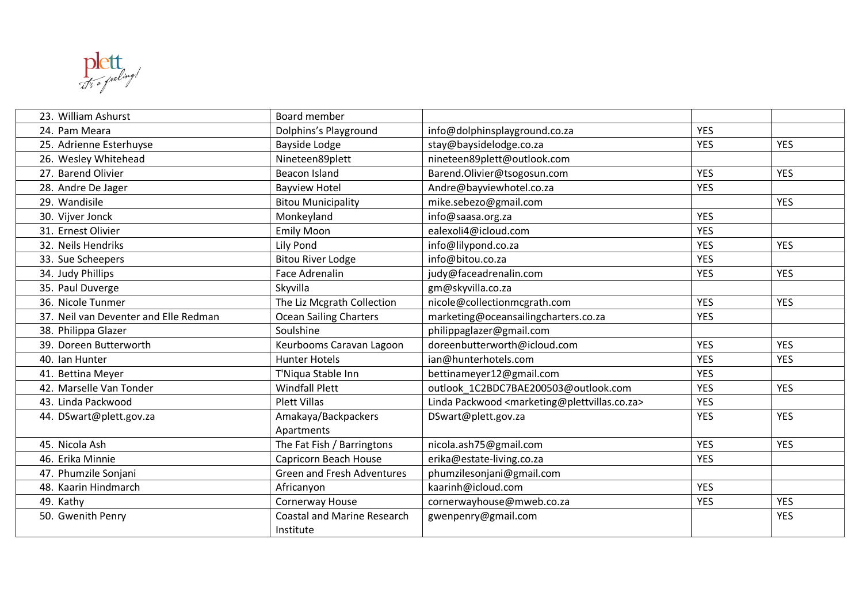

| 23. William Ashurst                   | <b>Board member</b>                             |                                                                            |            |            |
|---------------------------------------|-------------------------------------------------|----------------------------------------------------------------------------|------------|------------|
| 24. Pam Meara                         | Dolphins's Playground                           | info@dolphinsplayground.co.za                                              | <b>YES</b> |            |
| 25. Adrienne Esterhuyse               | Bayside Lodge                                   | stay@baysidelodge.co.za                                                    | <b>YES</b> | <b>YES</b> |
| 26. Wesley Whitehead                  | Nineteen89plett                                 | nineteen89plett@outlook.com                                                |            |            |
| 27. Barend Olivier                    | <b>Beacon Island</b>                            | Barend.Olivier@tsogosun.com                                                | <b>YES</b> | <b>YES</b> |
| 28. Andre De Jager                    | <b>Bayview Hotel</b>                            | Andre@bayviewhotel.co.za                                                   | <b>YES</b> |            |
| 29. Wandisile                         | <b>Bitou Municipality</b>                       | mike.sebezo@gmail.com                                                      |            | <b>YES</b> |
| 30. Vijver Jonck                      | Monkeyland                                      | info@saasa.org.za                                                          | <b>YES</b> |            |
| 31. Ernest Olivier                    | <b>Emily Moon</b>                               | ealexoli4@icloud.com                                                       | <b>YES</b> |            |
| 32. Neils Hendriks                    | Lily Pond                                       | info@lilypond.co.za                                                        | <b>YES</b> | <b>YES</b> |
| 33. Sue Scheepers                     | <b>Bitou River Lodge</b>                        | info@bitou.co.za                                                           | <b>YES</b> |            |
| 34. Judy Phillips                     | Face Adrenalin                                  | judy@faceadrenalin.com                                                     | <b>YES</b> | <b>YES</b> |
| 35. Paul Duverge                      | Skyvilla                                        | gm@skyvilla.co.za                                                          |            |            |
| 36. Nicole Tunmer                     | The Liz Mcgrath Collection                      | nicole@collectionmcgrath.com                                               | <b>YES</b> | <b>YES</b> |
| 37. Neil van Deventer and Elle Redman | <b>Ocean Sailing Charters</b>                   | marketing@oceansailingcharters.co.za                                       | <b>YES</b> |            |
| 38. Philippa Glazer                   | Soulshine                                       | philippaglazer@gmail.com                                                   |            |            |
| 39. Doreen Butterworth                | Keurbooms Caravan Lagoon                        | doreenbutterworth@icloud.com                                               | <b>YES</b> | <b>YES</b> |
| 40. Ian Hunter                        | <b>Hunter Hotels</b>                            | ian@hunterhotels.com                                                       | <b>YES</b> | <b>YES</b> |
| 41. Bettina Meyer                     | T'Niqua Stable Inn                              | bettinameyer12@gmail.com                                                   | <b>YES</b> |            |
| 42. Marselle Van Tonder               | <b>Windfall Plett</b>                           | outlook 1C2BDC7BAE200503@outlook.com                                       | <b>YES</b> | <b>YES</b> |
| 43. Linda Packwood                    | <b>Plett Villas</b>                             | Linda Packwood <marketing@plettvillas.co.za></marketing@plettvillas.co.za> | <b>YES</b> |            |
| 44. DSwart@plett.gov.za               | Amakaya/Backpackers                             | DSwart@plett.gov.za                                                        | <b>YES</b> | <b>YES</b> |
|                                       | Apartments                                      |                                                                            |            |            |
| 45. Nicola Ash                        | The Fat Fish / Barringtons                      | nicola.ash75@gmail.com                                                     | <b>YES</b> | <b>YES</b> |
| 46. Erika Minnie                      | Capricorn Beach House                           | erika@estate-living.co.za                                                  | <b>YES</b> |            |
| 47. Phumzile Sonjani                  | <b>Green and Fresh Adventures</b>               | phumzilesonjani@gmail.com                                                  |            |            |
| 48. Kaarin Hindmarch                  | Africanyon                                      | kaarinh@icloud.com                                                         | <b>YES</b> |            |
| 49. Kathy                             | Cornerway House                                 | cornerwayhouse@mweb.co.za                                                  | <b>YES</b> | <b>YES</b> |
| 50. Gwenith Penry                     | <b>Coastal and Marine Research</b><br>Institute | gwenpenry@gmail.com                                                        |            | <b>YES</b> |